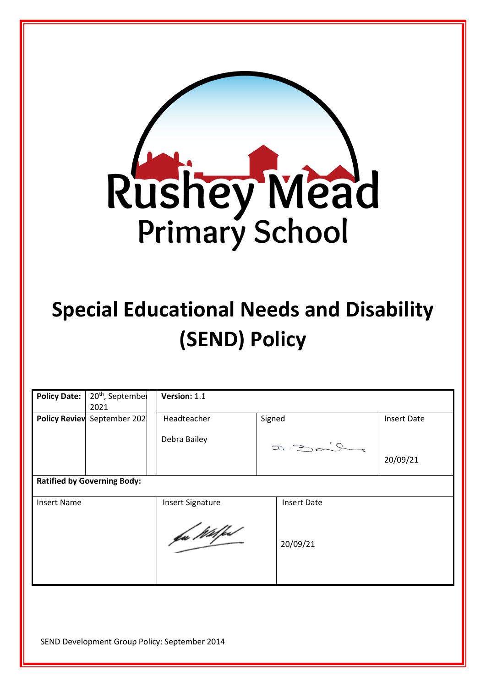

# **Special Educational Needs and Disability (SEND) Policy**

| <b>Policy Date:</b>                | 20 <sup>th</sup> , September<br>2021 | Version: 1.1            |                    |                    |  |  |
|------------------------------------|--------------------------------------|-------------------------|--------------------|--------------------|--|--|
| <b>Policy Review</b>               | September 202                        | Headteacher             | Signed             | <b>Insert Date</b> |  |  |
|                                    |                                      | Debra Bailey            |                    |                    |  |  |
|                                    |                                      |                         | $D = \frac{1}{2}$  | 20/09/21           |  |  |
| <b>Ratified by Governing Body:</b> |                                      |                         |                    |                    |  |  |
| <b>Insert Name</b>                 |                                      | <b>Insert Signature</b> | <b>Insert Date</b> |                    |  |  |
|                                    |                                      | fu Wilfest              | 20/09/21           |                    |  |  |

SEND Development Group Policy: September 2014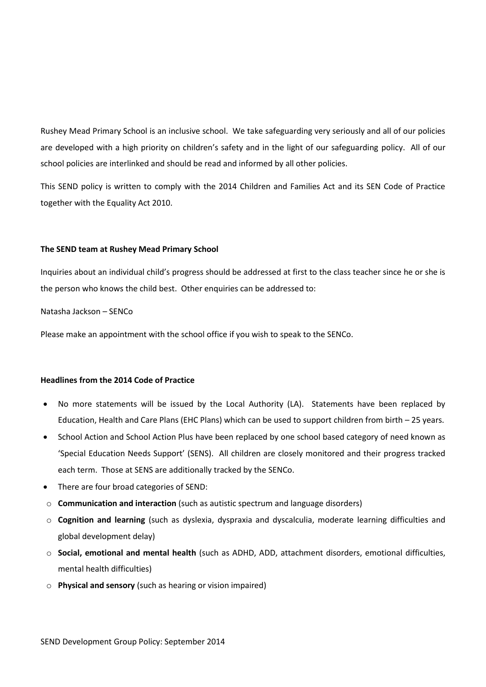Rushey Mead Primary School is an inclusive school. We take safeguarding very seriously and all of our policies are developed with a high priority on children's safety and in the light of our safeguarding policy. All of our school policies are interlinked and should be read and informed by all other policies.

This SEND policy is written to comply with the 2014 Children and Families Act and its SEN Code of Practice together with the Equality Act 2010.

## **The SEND team at Rushey Mead Primary School**

Inquiries about an individual child's progress should be addressed at first to the class teacher since he or she is the person who knows the child best. Other enquiries can be addressed to:

Natasha Jackson – SENCo

Please make an appointment with the school office if you wish to speak to the SENCo.

## **Headlines from the 2014 Code of Practice**

- No more statements will be issued by the Local Authority (LA). Statements have been replaced by Education, Health and Care Plans (EHC Plans) which can be used to support children from birth – 25 years.
- School Action and School Action Plus have been replaced by one school based category of need known as 'Special Education Needs Support' (SENS). All children are closely monitored and their progress tracked each term. Those at SENS are additionally tracked by the SENCo.
- There are four broad categories of SEND:
- o **Communication and interaction** (such as autistic spectrum and language disorders)
- o **Cognition and learning** (such as dyslexia, dyspraxia and dyscalculia, moderate learning difficulties and global development delay)
- o **Social, emotional and mental health** (such as ADHD, ADD, attachment disorders, emotional difficulties, mental health difficulties)
- o **Physical and sensory** (such as hearing or vision impaired)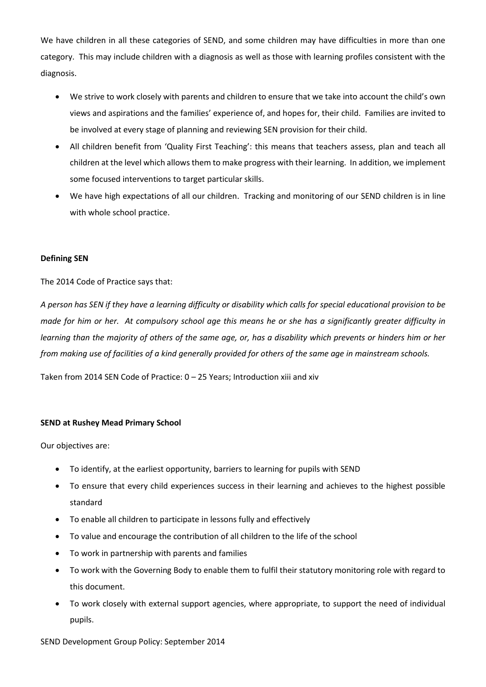We have children in all these categories of SEND, and some children may have difficulties in more than one category. This may include children with a diagnosis as well as those with learning profiles consistent with the diagnosis.

- We strive to work closely with parents and children to ensure that we take into account the child's own views and aspirations and the families' experience of, and hopes for, their child. Families are invited to be involved at every stage of planning and reviewing SEN provision for their child.
- All children benefit from 'Quality First Teaching': this means that teachers assess, plan and teach all children at the level which allows them to make progress with their learning. In addition, we implement some focused interventions to target particular skills.
- We have high expectations of all our children. Tracking and monitoring of our SEND children is in line with whole school practice.

# **Defining SEN**

The 2014 Code of Practice says that:

*A person has SEN if they have a learning difficulty or disability which calls for special educational provision to be made for him or her. At compulsory school age this means he or she has a significantly greater difficulty in learning than the majority of others of the same age, or, has a disability which prevents or hinders him or her from making use of facilities of a kind generally provided for others of the same age in mainstream schools.* 

Taken from 2014 SEN Code of Practice: 0 – 25 Years; Introduction xiii and xiv

## **SEND at Rushey Mead Primary School**

Our objectives are:

- To identify, at the earliest opportunity, barriers to learning for pupils with SEND
- To ensure that every child experiences success in their learning and achieves to the highest possible standard
- To enable all children to participate in lessons fully and effectively
- To value and encourage the contribution of all children to the life of the school
- To work in partnership with parents and families
- To work with the Governing Body to enable them to fulfil their statutory monitoring role with regard to this document.
- To work closely with external support agencies, where appropriate, to support the need of individual pupils.

SEND Development Group Policy: September 2014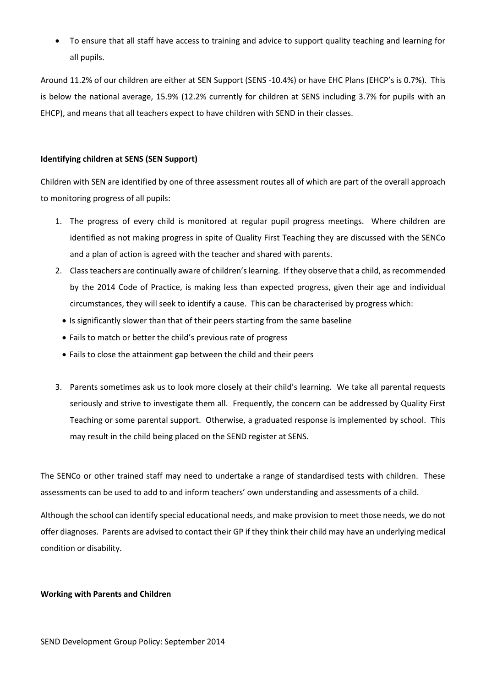• To ensure that all staff have access to training and advice to support quality teaching and learning for all pupils.

Around 11.2% of our children are either at SEN Support (SENS -10.4%) or have EHC Plans (EHCP's is 0.7%). This is below the national average, 15.9% (12.2% currently for children at SENS including 3.7% for pupils with an EHCP), and means that all teachers expect to have children with SEND in their classes.

# **Identifying children at SENS (SEN Support)**

Children with SEN are identified by one of three assessment routes all of which are part of the overall approach to monitoring progress of all pupils:

- 1. The progress of every child is monitored at regular pupil progress meetings. Where children are identified as not making progress in spite of Quality First Teaching they are discussed with the SENCo and a plan of action is agreed with the teacher and shared with parents.
- 2. Class teachers are continually aware of children's learning. If they observe that a child, as recommended by the 2014 Code of Practice, is making less than expected progress, given their age and individual circumstances, they will seek to identify a cause. This can be characterised by progress which:
	- Is significantly slower than that of their peers starting from the same baseline
	- Fails to match or better the child's previous rate of progress
	- Fails to close the attainment gap between the child and their peers
- 3. Parents sometimes ask us to look more closely at their child's learning. We take all parental requests seriously and strive to investigate them all. Frequently, the concern can be addressed by Quality First Teaching or some parental support. Otherwise, a graduated response is implemented by school. This may result in the child being placed on the SEND register at SENS.

The SENCo or other trained staff may need to undertake a range of standardised tests with children. These assessments can be used to add to and inform teachers' own understanding and assessments of a child.

Although the school can identify special educational needs, and make provision to meet those needs, we do not offer diagnoses. Parents are advised to contact their GP if they think their child may have an underlying medical condition or disability.

#### **Working with Parents and Children**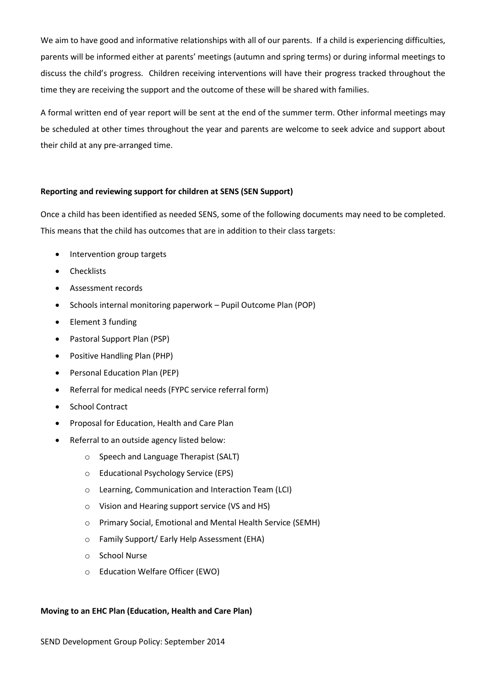We aim to have good and informative relationships with all of our parents. If a child is experiencing difficulties, parents will be informed either at parents' meetings (autumn and spring terms) or during informal meetings to discuss the child's progress. Children receiving interventions will have their progress tracked throughout the time they are receiving the support and the outcome of these will be shared with families.

A formal written end of year report will be sent at the end of the summer term. Other informal meetings may be scheduled at other times throughout the year and parents are welcome to seek advice and support about their child at any pre-arranged time.

## **Reporting and reviewing support for children at SENS (SEN Support)**

Once a child has been identified as needed SENS, some of the following documents may need to be completed. This means that the child has outcomes that are in addition to their class targets:

- Intervention group targets
- **Checklists**
- Assessment records
- Schools internal monitoring paperwork Pupil Outcome Plan (POP)
- Element 3 funding
- Pastoral Support Plan (PSP)
- Positive Handling Plan (PHP)
- Personal Education Plan (PEP)
- Referral for medical needs (FYPC service referral form)
- School Contract
- Proposal for Education, Health and Care Plan
- Referral to an outside agency listed below:
	- o Speech and Language Therapist (SALT)
	- o Educational Psychology Service (EPS)
	- o Learning, Communication and Interaction Team (LCI)
	- o Vision and Hearing support service (VS and HS)
	- o Primary Social, Emotional and Mental Health Service (SEMH)
	- o Family Support/ Early Help Assessment (EHA)
	- o School Nurse
	- o Education Welfare Officer (EWO)

## **Moving to an EHC Plan (Education, Health and Care Plan)**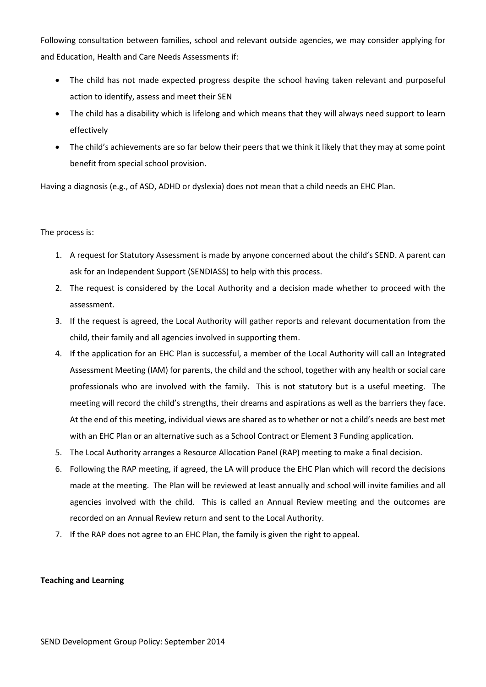Following consultation between families, school and relevant outside agencies, we may consider applying for and Education, Health and Care Needs Assessments if:

- The child has not made expected progress despite the school having taken relevant and purposeful action to identify, assess and meet their SEN
- The child has a disability which is lifelong and which means that they will always need support to learn effectively
- The child's achievements are so far below their peers that we think it likely that they may at some point benefit from special school provision.

Having a diagnosis (e.g., of ASD, ADHD or dyslexia) does not mean that a child needs an EHC Plan.

# The process is:

- 1. A request for Statutory Assessment is made by anyone concerned about the child's SEND. A parent can ask for an Independent Support (SENDIASS) to help with this process.
- 2. The request is considered by the Local Authority and a decision made whether to proceed with the assessment.
- 3. If the request is agreed, the Local Authority will gather reports and relevant documentation from the child, their family and all agencies involved in supporting them.
- 4. If the application for an EHC Plan is successful, a member of the Local Authority will call an Integrated Assessment Meeting (IAM) for parents, the child and the school, together with any health or social care professionals who are involved with the family. This is not statutory but is a useful meeting. The meeting will record the child's strengths, their dreams and aspirations as well as the barriers they face. At the end of this meeting, individual views are shared as to whether or not a child's needs are best met with an EHC Plan or an alternative such as a School Contract or Element 3 Funding application.
- 5. The Local Authority arranges a Resource Allocation Panel (RAP) meeting to make a final decision.
- 6. Following the RAP meeting, if agreed, the LA will produce the EHC Plan which will record the decisions made at the meeting. The Plan will be reviewed at least annually and school will invite families and all agencies involved with the child. This is called an Annual Review meeting and the outcomes are recorded on an Annual Review return and sent to the Local Authority.
- 7. If the RAP does not agree to an EHC Plan, the family is given the right to appeal.

## **Teaching and Learning**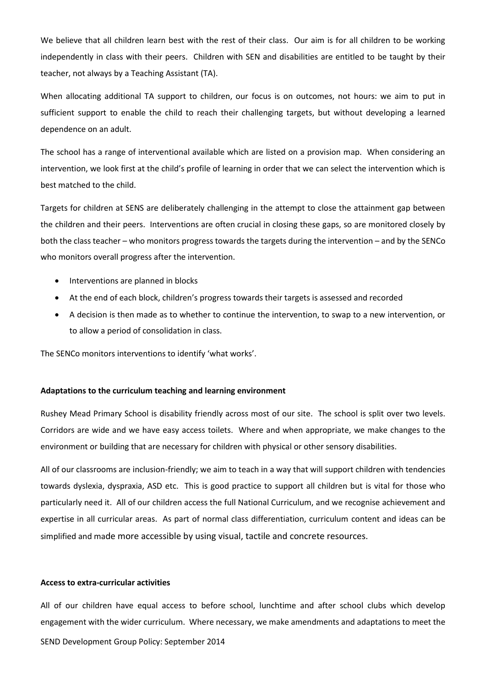We believe that all children learn best with the rest of their class. Our aim is for all children to be working independently in class with their peers. Children with SEN and disabilities are entitled to be taught by their teacher, not always by a Teaching Assistant (TA).

When allocating additional TA support to children, our focus is on outcomes, not hours: we aim to put in sufficient support to enable the child to reach their challenging targets, but without developing a learned dependence on an adult.

The school has a range of interventional available which are listed on a provision map. When considering an intervention, we look first at the child's profile of learning in order that we can select the intervention which is best matched to the child.

Targets for children at SENS are deliberately challenging in the attempt to close the attainment gap between the children and their peers. Interventions are often crucial in closing these gaps, so are monitored closely by both the class teacher – who monitors progress towards the targets during the intervention – and by the SENCo who monitors overall progress after the intervention.

- Interventions are planned in blocks
- At the end of each block, children's progress towards their targets is assessed and recorded
- A decision is then made as to whether to continue the intervention, to swap to a new intervention, or to allow a period of consolidation in class.

The SENCo monitors interventions to identify 'what works'.

#### **Adaptations to the curriculum teaching and learning environment**

Rushey Mead Primary School is disability friendly across most of our site. The school is split over two levels. Corridors are wide and we have easy access toilets. Where and when appropriate, we make changes to the environment or building that are necessary for children with physical or other sensory disabilities.

All of our classrooms are inclusion-friendly; we aim to teach in a way that will support children with tendencies towards dyslexia, dyspraxia, ASD etc. This is good practice to support all children but is vital for those who particularly need it. All of our children access the full National Curriculum, and we recognise achievement and expertise in all curricular areas. As part of normal class differentiation, curriculum content and ideas can be simplified and made more accessible by using visual, tactile and concrete resources.

#### **Access to extra-curricular activities**

SEND Development Group Policy: September 2014 All of our children have equal access to before school, lunchtime and after school clubs which develop engagement with the wider curriculum. Where necessary, we make amendments and adaptations to meet the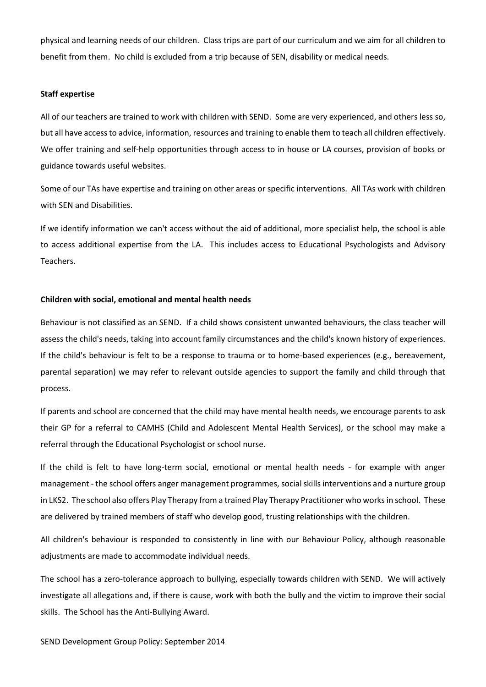physical and learning needs of our children. Class trips are part of our curriculum and we aim for all children to benefit from them. No child is excluded from a trip because of SEN, disability or medical needs.

#### **Staff expertise**

All of our teachers are trained to work with children with SEND. Some are very experienced, and others less so, but all have access to advice, information, resources and training to enable them to teach all children effectively. We offer training and self-help opportunities through access to in house or LA courses, provision of books or guidance towards useful websites.

Some of our TAs have expertise and training on other areas or specific interventions. All TAs work with children with SEN and Disabilities.

If we identify information we can't access without the aid of additional, more specialist help, the school is able to access additional expertise from the LA. This includes access to Educational Psychologists and Advisory Teachers.

## **Children with social, emotional and mental health needs**

Behaviour is not classified as an SEND. If a child shows consistent unwanted behaviours, the class teacher will assess the child's needs, taking into account family circumstances and the child's known history of experiences. If the child's behaviour is felt to be a response to trauma or to home-based experiences (e.g., bereavement, parental separation) we may refer to relevant outside agencies to support the family and child through that process.

If parents and school are concerned that the child may have mental health needs, we encourage parents to ask their GP for a referral to CAMHS (Child and Adolescent Mental Health Services), or the school may make a referral through the Educational Psychologist or school nurse.

If the child is felt to have long-term social, emotional or mental health needs - for example with anger management - the school offers anger management programmes, social skills interventions and a nurture group in LKS2. The school also offers Play Therapy from a trained Play Therapy Practitioner who works in school. These are delivered by trained members of staff who develop good, trusting relationships with the children.

All children's behaviour is responded to consistently in line with our Behaviour Policy, although reasonable adjustments are made to accommodate individual needs.

The school has a zero-tolerance approach to bullying, especially towards children with SEND. We will actively investigate all allegations and, if there is cause, work with both the bully and the victim to improve their social skills. The School has the Anti-Bullying Award.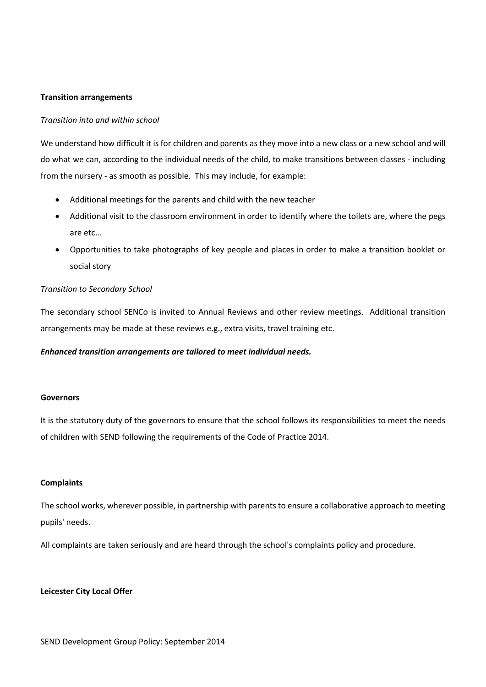## **Transition arrangements**

## *Transition into and within school*

We understand how difficult it is for children and parents as they move into a new class or a new school and will do what we can, according to the individual needs of the child, to make transitions between classes - including from the nursery - as smooth as possible. This may include, for example:

- Additional meetings for the parents and child with the new teacher
- Additional visit to the classroom environment in order to identify where the toilets are, where the pegs are etc…
- Opportunities to take photographs of key people and places in order to make a transition booklet or social story

# *Transition to Secondary School*

The secondary school SENCo is invited to Annual Reviews and other review meetings. Additional transition arrangements may be made at these reviews e.g., extra visits, travel training etc.

#### *Enhanced transition arrangements are tailored to meet individual needs.*

#### **Governors**

It is the statutory duty of the governors to ensure that the school follows its responsibilities to meet the needs of children with SEND following the requirements of the Code of Practice 2014.

### **Complaints**

The school works, wherever possible, in partnership with parents to ensure a collaborative approach to meeting pupils' needs.

All complaints are taken seriously and are heard through the school's complaints policy and procedure.

#### **Leicester City Local Offer**